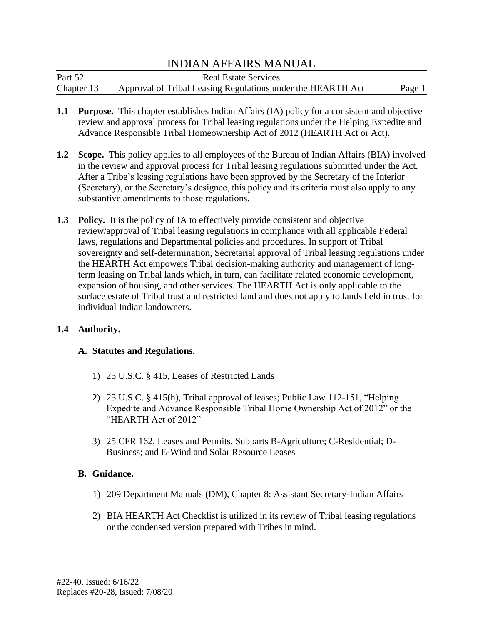Part 52 Real Estate Services Chapter 13 Approval of Tribal Leasing Regulations under the HEARTH Act Page 1

- **1.1 Purpose.** This chapter establishes Indian Affairs (IA) policy for a consistent and objective review and approval process for Tribal leasing regulations under the Helping Expedite and Advance Responsible Tribal Homeownership Act of 2012 (HEARTH Act or Act).
- **1.2 Scope.** This policy applies to all employees of the Bureau of Indian Affairs (BIA) involved in the review and approval process for Tribal leasing regulations submitted under the Act. After a Tribe's leasing regulations have been approved by the Secretary of the Interior (Secretary), or the Secretary's designee, this policy and its criteria must also apply to any substantive amendments to those regulations.
- **1.3 Policy.** It is the policy of IA to effectively provide consistent and objective review/approval of Tribal leasing regulations in compliance with all applicable Federal laws, regulations and Departmental policies and procedures. In support of Tribal sovereignty and self-determination, Secretarial approval of Tribal leasing regulations under the HEARTH Act empowers Tribal decision-making authority and management of longterm leasing on Tribal lands which, in turn, can facilitate related economic development, expansion of housing, and other services. The HEARTH Act is only applicable to the surface estate of Tribal trust and restricted land and does not apply to lands held in trust for individual Indian landowners.

### **1.4 Authority.**

### **A. Statutes and Regulations.**

- 1) 25 U.S.C. § 415, Leases of Restricted Lands
- 2) 25 U.S.C. § 415(h), Tribal approval of leases; Public Law 112-151, "Helping Expedite and Advance Responsible Tribal Home Ownership Act of 2012" or the "HEARTH Act of 2012"
- 3) 25 CFR 162, Leases and Permits, Subparts B-Agriculture; C-Residential; D-Business; and E-Wind and Solar Resource Leases

### **B. Guidance.**

- 1) 209 Department Manuals (DM), Chapter 8: Assistant Secretary-Indian Affairs
- 2) BIA HEARTH Act Checklist is utilized in its review of Tribal leasing regulations or the condensed version prepared with Tribes in mind.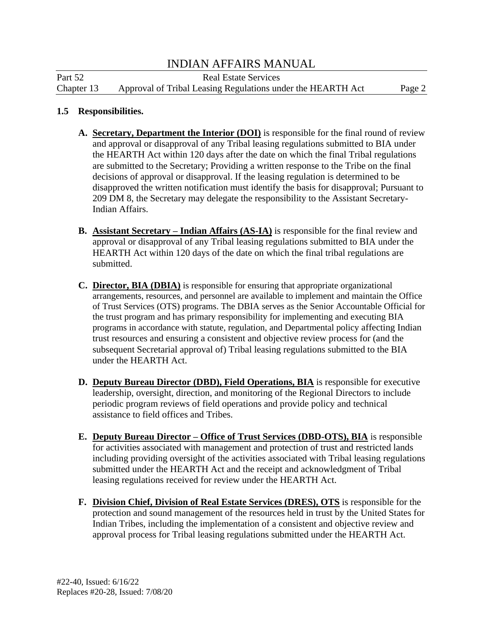Part 52 Real Estate Services Chapter 13 Approval of Tribal Leasing Regulations under the HEARTH Act Page 2

#### **1.5 Responsibilities.**

- **A. Secretary, Department the Interior (DOI)** is responsible for the final round of review and approval or disapproval of any Tribal leasing regulations submitted to BIA under the HEARTH Act within 120 days after the date on which the final Tribal regulations are submitted to the Secretary; Providing a written response to the Tribe on the final decisions of approval or disapproval. If the leasing regulation is determined to be disapproved the written notification must identify the basis for disapproval; Pursuant to 209 DM 8, the Secretary may delegate the responsibility to the Assistant Secretary-Indian Affairs.
- **B. Assistant Secretary – Indian Affairs (AS-IA)** is responsible for the final review and approval or disapproval of any Tribal leasing regulations submitted to BIA under the HEARTH Act within 120 days of the date on which the final tribal regulations are submitted.
- **C. Director, BIA (DBIA)** is responsible for ensuring that appropriate organizational arrangements, resources, and personnel are available to implement and maintain the Office of Trust Services (OTS) programs. The DBIA serves as the Senior Accountable Official for the trust program and has primary responsibility for implementing and executing BIA programs in accordance with statute, regulation, and Departmental policy affecting Indian trust resources and ensuring a consistent and objective review process for (and the subsequent Secretarial approval of) Tribal leasing regulations submitted to the BIA under the HEARTH Act.
- **D. Deputy Bureau Director (DBD), Field Operations, BIA** is responsible for executive leadership, oversight, direction, and monitoring of the Regional Directors to include periodic program reviews of field operations and provide policy and technical assistance to field offices and Tribes.
- **E. Deputy Bureau Director – Office of Trust Services (DBD-OTS), BIA** is responsible for activities associated with management and protection of trust and restricted lands including providing oversight of the activities associated with Tribal leasing regulations submitted under the HEARTH Act and the receipt and acknowledgment of Tribal leasing regulations received for review under the HEARTH Act.
- **F. Division Chief, Division of Real Estate Services (DRES), OTS** is responsible for the protection and sound management of the resources held in trust by the United States for Indian Tribes, including the implementation of a consistent and objective review and approval process for Tribal leasing regulations submitted under the HEARTH Act.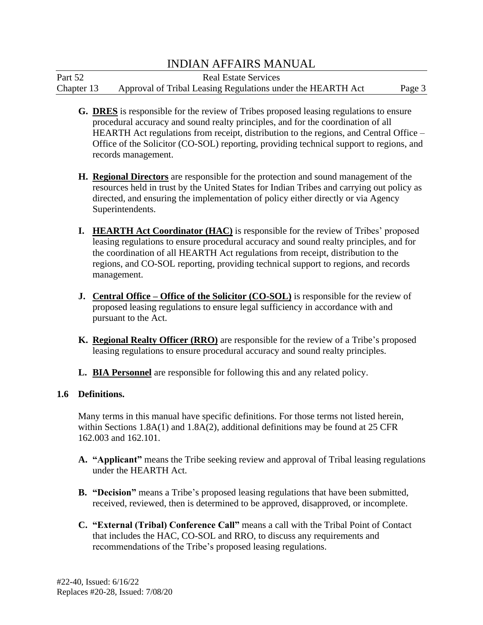Part 52 Real Estate Services Chapter 13 Approval of Tribal Leasing Regulations under the HEARTH Act Page 3

- **G. DRES** is responsible for the review of Tribes proposed leasing regulations to ensure procedural accuracy and sound realty principles, and for the coordination of all HEARTH Act regulations from receipt, distribution to the regions, and Central Office – Office of the Solicitor (CO-SOL) reporting, providing technical support to regions, and records management.
- **H. Regional Directors** are responsible for the protection and sound management of the resources held in trust by the United States for Indian Tribes and carrying out policy as directed, and ensuring the implementation of policy either directly or via Agency Superintendents.
- **I. HEARTH Act Coordinator (HAC)** is responsible for the review of Tribes' proposed leasing regulations to ensure procedural accuracy and sound realty principles, and for the coordination of all HEARTH Act regulations from receipt, distribution to the regions, and CO-SOL reporting, providing technical support to regions, and records management.
- **J.** Central Office Office of the Solicitor (CO-SOL) is responsible for the review of proposed leasing regulations to ensure legal sufficiency in accordance with and pursuant to the Act.
- **K. Regional Realty Officer (RRO)** are responsible for the review of a Tribe's proposed leasing regulations to ensure procedural accuracy and sound realty principles.
- **L. BIA Personnel** are responsible for following this and any related policy.

### **1.6 Definitions.**

Many terms in this manual have specific definitions. For those terms not listed herein, within Sections  $1.8A(1)$  and  $1.8A(2)$ , additional definitions may be found at 25 CFR 162.003 and 162.101.

- **A. "Applicant"** means the Tribe seeking review and approval of Tribal leasing regulations under the HEARTH Act.
- **B. "Decision"** means a Tribe's proposed leasing regulations that have been submitted, received, reviewed, then is determined to be approved, disapproved, or incomplete.
- **C. "External (Tribal) Conference Call"** means a call with the Tribal Point of Contact that includes the HAC, CO-SOL and RRO, to discuss any requirements and recommendations of the Tribe's proposed leasing regulations.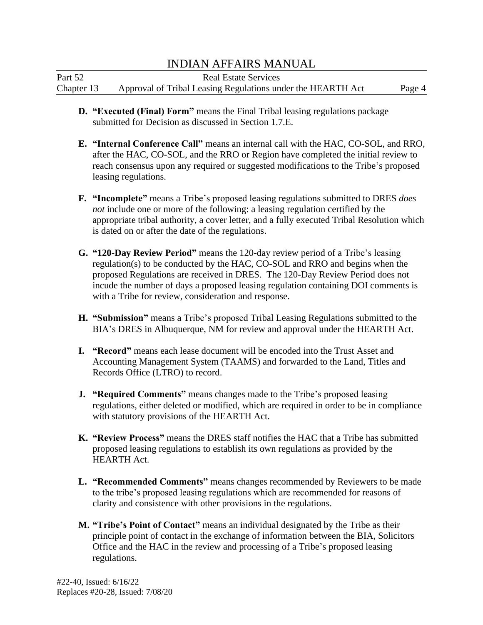| Part 52    | <b>Real Estate Services</b>                                 |        |
|------------|-------------------------------------------------------------|--------|
| Chapter 13 | Approval of Tribal Leasing Regulations under the HEARTH Act | Page 4 |

- **D. "Executed (Final) Form"** means the Final Tribal leasing regulations package submitted for Decision as discussed in Section 1.7.E.
- **E. "Internal Conference Call"** means an internal call with the HAC, CO-SOL, and RRO, after the HAC, CO-SOL, and the RRO or Region have completed the initial review to reach consensus upon any required or suggested modifications to the Tribe's proposed leasing regulations.
- **F. "Incomplete"** means a Tribe's proposed leasing regulations submitted to DRES *does not* include one or more of the following: a leasing regulation certified by the appropriate tribal authority, a cover letter, and a fully executed Tribal Resolution which is dated on or after the date of the regulations.
- **G. "120-Day Review Period"** means the 120-day review period of a Tribe's leasing regulation(s) to be conducted by the HAC, CO-SOL and RRO and begins when the proposed Regulations are received in DRES. The 120-Day Review Period does not incude the number of days a proposed leasing regulation containing DOI comments is with a Tribe for review, consideration and response.
- **H. "Submission"** means a Tribe's proposed Tribal Leasing Regulations submitted to the BIA's DRES in Albuquerque, NM for review and approval under the HEARTH Act.
- **I. "Record"** means each lease document will be encoded into the Trust Asset and Accounting Management System (TAAMS) and forwarded to the Land, Titles and Records Office (LTRO) to record.
- **J. "Required Comments"** means changes made to the Tribe's proposed leasing regulations, either deleted or modified, which are required in order to be in compliance with statutory provisions of the HEARTH Act.
- **K. "Review Process"** means the DRES staff notifies the HAC that a Tribe has submitted proposed leasing regulations to establish its own regulations as provided by the HEARTH Act.
- **L. "Recommended Comments"** means changes recommended by Reviewers to be made to the tribe's proposed leasing regulations which are recommended for reasons of clarity and consistence with other provisions in the regulations.
- **M. "Tribe's Point of Contact"** means an individual designated by the Tribe as their principle point of contact in the exchange of information between the BIA, Solicitors Office and the HAC in the review and processing of a Tribe's proposed leasing regulations.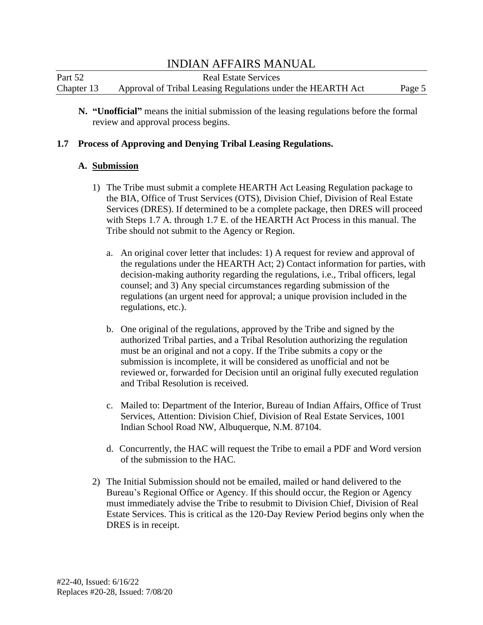| Part 52    | <b>Real Estate Services</b>                                 |        |
|------------|-------------------------------------------------------------|--------|
| Chapter 13 | Approval of Tribal Leasing Regulations under the HEARTH Act | Page 5 |

**N. "Unofficial"** means the initial submission of the leasing regulations before the formal review and approval process begins.

#### **1.7 Process of Approving and Denying Tribal Leasing Regulations.**

#### **A. Submission**

- 1) The Tribe must submit a complete HEARTH Act Leasing Regulation package to the BIA, Office of Trust Services (OTS), Division Chief, Division of Real Estate Services (DRES). If determined to be a complete package, then DRES will proceed with Steps 1.7 A. through 1.7 E. of the HEARTH Act Process in this manual. The Tribe should not submit to the Agency or Region.
	- a. An original cover letter that includes: 1) A request for review and approval of the regulations under the HEARTH Act; 2) Contact information for parties, with decision-making authority regarding the regulations, i.e., Tribal officers, legal counsel; and 3) Any special circumstances regarding submission of the regulations (an urgent need for approval; a unique provision included in the regulations, etc.).
	- b. One original of the regulations, approved by the Tribe and signed by the authorized Tribal parties, and a Tribal Resolution authorizing the regulation must be an original and not a copy. If the Tribe submits a copy or the submission is incomplete, it will be considered as unofficial and not be reviewed or, forwarded for Decision until an original fully executed regulation and Tribal Resolution is received.
	- c. Mailed to: Department of the Interior, Bureau of Indian Affairs, Office of Trust Services, Attention: Division Chief, Division of Real Estate Services, 1001 Indian School Road NW, Albuquerque, N.M. 87104.
	- d. Concurrently, the HAC will request the Tribe to email a PDF and Word version of the submission to the HAC.
- 2) The Initial Submission should not be emailed, mailed or hand delivered to the Bureau's Regional Office or Agency. If this should occur, the Region or Agency must immediately advise the Tribe to resubmit to Division Chief, Division of Real Estate Services. This is critical as the 120-Day Review Period begins only when the DRES is in receipt.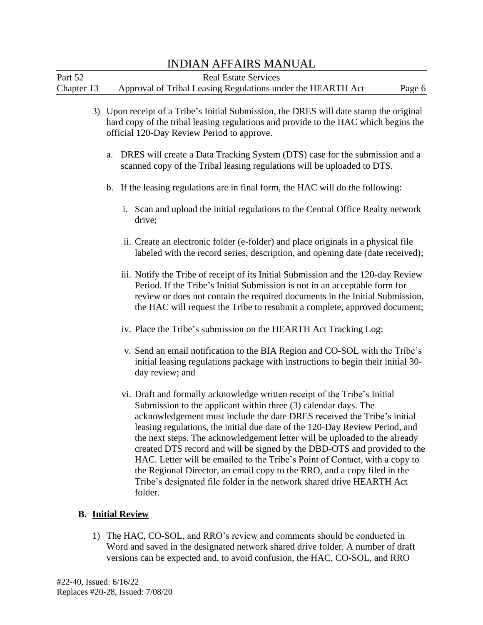| Part 52    | <b>Real Estate Services</b>                                 |        |
|------------|-------------------------------------------------------------|--------|
| Chapter 13 | Approval of Tribal Leasing Regulations under the HEARTH Act | Page 6 |

- 3) Upon receipt of a Tribe's Initial Submission, the DRES will date stamp the original hard copy of the tribal leasing regulations and provide to the HAC which begins the official 120-Day Review Period to approve.
	- a. DRES will create a Data Tracking System (DTS) case for the submission and a scanned copy of the Tribal leasing regulations will be uploaded to DTS.
	- b. If the leasing regulations are in final form, the HAC will do the following:
		- i. Scan and upload the initial regulations to the Central Office Realty network drive;
		- ii. Create an electronic folder (e-folder) and place originals in a physical file labeled with the record series, description, and opening date (date received);
		- iii. Notify the Tribe of receipt of its Initial Submission and the 120-day Review Period. If the Tribe's Initial Submission is not in an acceptable form for review or does not contain the required documents in the Initial Submission, the HAC will request the Tribe to resubmit a complete, approved document;
		- iv. Place the Tribe's submission on the HEARTH Act Tracking Log;
		- v. Send an email notification to the BIA Region and CO-SOL with the Tribe's initial leasing regulations package with instructions to begin their initial 30 day review; and
		- vi. Draft and formally acknowledge written receipt of the Tribe's Initial Submission to the applicant within three (3) calendar days. The acknowledgement must include the date DRES received the Tribe's initial leasing regulations, the initial due date of the 120-Day Review Period, and the next steps. The acknowledgement letter will be uploaded to the already created DTS record and will be signed by the DBD-OTS and provided to the HAC. Letter will be emailed to the Tribe's Point of Contact, with a copy to the Regional Director, an email copy to the RRO, and a copy filed in the Tribe's designated file folder in the network shared drive HEARTH Act folder.

### **B. Initial Review**

1) The HAC, CO-SOL, and RRO's review and comments should be conducted in Word and saved in the designated network shared drive folder. A number of draft versions can be expected and, to avoid confusion, the HAC, CO-SOL, and RRO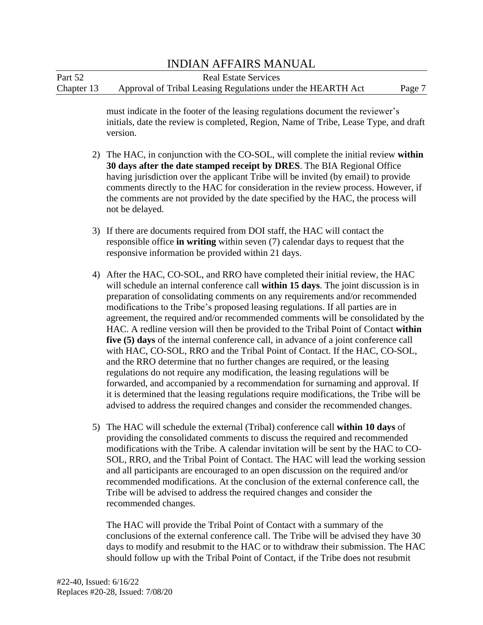# responsible office **in writing** within seven (7) calendar days to request that the INDIAN AFFAIRS MANUAL Part 52 Real Estate Services Chapter 13 Approval of Tribal Leasing Regulations under the HEARTH Act Page 7 must indicate in the footer of the leasing regulations document the reviewer's initials, date the review is completed, Region, Name of Tribe, Lease Type, and draft version. 2) The HAC, in conjunction with the CO-SOL, will complete the initial review **within 30 days after the date stamped receipt by DRES**. The BIA Regional Office having jurisdiction over the applicant Tribe will be invited (by email) to provide comments directly to the HAC for consideration in the review process. However, if the comments are not provided by the date specified by the HAC, the process will not be delayed. 3) If there are documents required from DOI staff, the HAC will contact the responsive information be provided within 21 days. 4) After the HAC, CO-SOL, and RRO have completed their initial review, the HAC will schedule an internal conference call **within 15 days**. The joint discussion is in preparation of consolidating comments on any requirements and/or recommended modifications to the Tribe's proposed leasing regulations. If all parties are in agreement, the required and/or recommended comments will be consolidated by the HAC. A redline version will then be provided to the Tribal Point of Contact **within five (5) days** of the internal conference call, in advance of a joint conference call with HAC, CO-SOL, RRO and the Tribal Point of Contact. If the HAC, CO-SOL, and the RRO determine that no further changes are required, or the leasing regulations do not require any modification, the leasing regulations will be forwarded, and accompanied by a recommendation for surnaming and approval. If it is determined that the leasing regulations require modifications, the Tribe will be advised to address the required changes and consider the recommended changes. 5) The HAC will schedule the external (Tribal) conference call **within 10 days** of providing the consolidated comments to discuss the required and recommended modifications with the Tribe. A calendar invitation will be sent by the HAC to CO-SOL, RRO, and the Tribal Point of Contact. The HAC will lead the working session and all participants are encouraged to an open discussion on the required and/or recommended modifications. At the conclusion of the external conference call, the Tribe will be advised to address the required changes and consider the recommended changes. The HAC will provide the Tribal Point of Contact with a summary of the conclusions of the external conference call. The Tribe will be advised they have 30 days to modify and resubmit to the HAC or to withdraw their submission. The HAC

should follow up with the Tribal Point of Contact, if the Tribe does not resubmit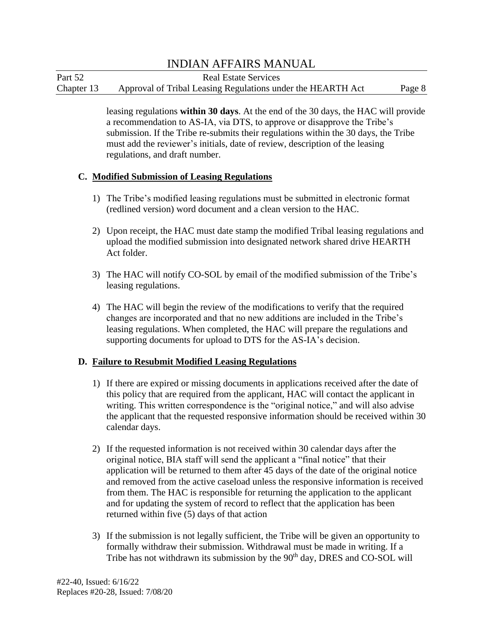| Part 52    | <b>Real Estate Services</b>                                 |        |
|------------|-------------------------------------------------------------|--------|
| Chapter 13 | Approval of Tribal Leasing Regulations under the HEARTH Act | Page 8 |

leasing regulations **within 30 days**. At the end of the 30 days, the HAC will provide a recommendation to AS-IA, via DTS, to approve or disapprove the Tribe's submission. If the Tribe re-submits their regulations within the 30 days, the Tribe must add the reviewer's initials, date of review, description of the leasing regulations, and draft number.

#### **C. Modified Submission of Leasing Regulations**

- 1) The Tribe's modified leasing regulations must be submitted in electronic format (redlined version) word document and a clean version to the HAC.
- 2) Upon receipt, the HAC must date stamp the modified Tribal leasing regulations and upload the modified submission into designated network shared drive HEARTH Act folder.
- 3) The HAC will notify CO-SOL by email of the modified submission of the Tribe's leasing regulations.
- 4) The HAC will begin the review of the modifications to verify that the required changes are incorporated and that no new additions are included in the Tribe's leasing regulations. When completed, the HAC will prepare the regulations and supporting documents for upload to DTS for the AS-IA's decision.

#### **D. Failure to Resubmit Modified Leasing Regulations**

- 1) If there are expired or missing documents in applications received after the date of this policy that are required from the applicant, HAC will contact the applicant in writing. This written correspondence is the "original notice," and will also advise the applicant that the requested responsive information should be received within 30 calendar days.
- 2) If the requested information is not received within 30 calendar days after the original notice, BIA staff will send the applicant a "final notice" that their application will be returned to them after 45 days of the date of the original notice and removed from the active caseload unless the responsive information is received from them. The HAC is responsible for returning the application to the applicant and for updating the system of record to reflect that the application has been returned within five (5) days of that action
- 3) If the submission is not legally sufficient, the Tribe will be given an opportunity to formally withdraw their submission. Withdrawal must be made in writing. If a Tribe has not withdrawn its submission by the 90<sup>th</sup> day, DRES and CO-SOL will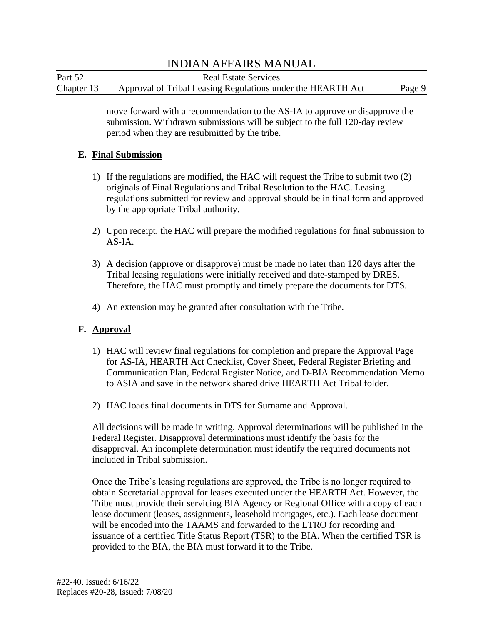| Part 52    | <b>Real Estate Services</b>                                 |        |
|------------|-------------------------------------------------------------|--------|
| Chapter 13 | Approval of Tribal Leasing Regulations under the HEARTH Act | Page 9 |

move forward with a recommendation to the AS-IA to approve or disapprove the submission. Withdrawn submissions will be subject to the full 120-day review period when they are resubmitted by the tribe.

#### **E. Final Submission**

- 1) If the regulations are modified, the HAC will request the Tribe to submit two (2) originals of Final Regulations and Tribal Resolution to the HAC. Leasing regulations submitted for review and approval should be in final form and approved by the appropriate Tribal authority.
- 2) Upon receipt, the HAC will prepare the modified regulations for final submission to AS-IA.
- 3) A decision (approve or disapprove) must be made no later than 120 days after the Tribal leasing regulations were initially received and date-stamped by DRES. Therefore, the HAC must promptly and timely prepare the documents for DTS.
- 4) An extension may be granted after consultation with the Tribe.

### **F. Approval**

- 1) HAC will review final regulations for completion and prepare the Approval Page for AS-IA, HEARTH Act Checklist, Cover Sheet, Federal Register Briefing and Communication Plan, Federal Register Notice, and D-BIA Recommendation Memo to ASIA and save in the network shared drive HEARTH Act Tribal folder.
- 2) HAC loads final documents in DTS for Surname and Approval.

All decisions will be made in writing. Approval determinations will be published in the Federal Register. Disapproval determinations must identify the basis for the disapproval. An incomplete determination must identify the required documents not included in Tribal submission.

Once the Tribe's leasing regulations are approved, the Tribe is no longer required to obtain Secretarial approval for leases executed under the HEARTH Act. However, the Tribe must provide their servicing BIA Agency or Regional Office with a copy of each lease document (leases, assignments, leasehold mortgages, etc.). Each lease document will be encoded into the TAAMS and forwarded to the LTRO for recording and issuance of a certified Title Status Report (TSR) to the BIA. When the certified TSR is provided to the BIA, the BIA must forward it to the Tribe.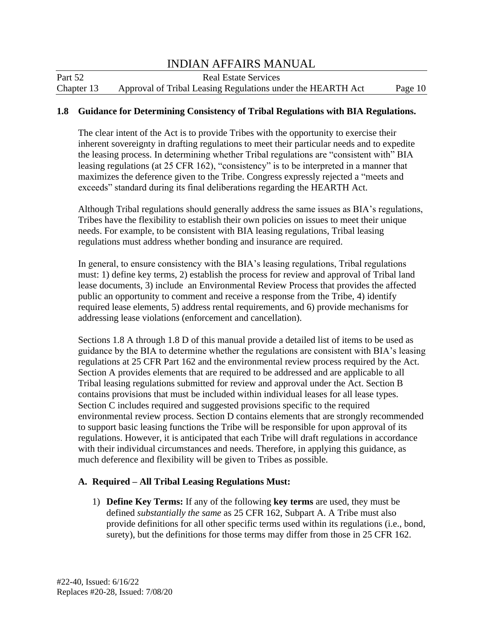| Part 52    | <b>Real Estate Services</b>                                 |         |
|------------|-------------------------------------------------------------|---------|
| Chapter 13 | Approval of Tribal Leasing Regulations under the HEARTH Act | Page 10 |

#### **1.8 Guidance for Determining Consistency of Tribal Regulations with BIA Regulations.**

The clear intent of the Act is to provide Tribes with the opportunity to exercise their inherent sovereignty in drafting regulations to meet their particular needs and to expedite the leasing process. In determining whether Tribal regulations are "consistent with" BIA leasing regulations (at 25 CFR 162), "consistency" is to be interpreted in a manner that maximizes the deference given to the Tribe. Congress expressly rejected a "meets and exceeds" standard during its final deliberations regarding the HEARTH Act.

 regulations must address whether bonding and insurance are required. Although Tribal regulations should generally address the same issues as BIA's regulations, Tribes have the flexibility to establish their own policies on issues to meet their unique needs. For example, to be consistent with BIA leasing regulations, Tribal leasing

In general, to ensure consistency with the BIA's leasing regulations, Tribal regulations must: 1) define key terms, 2) establish the process for review and approval of Tribal land lease documents, 3) include an Environmental Review Process that provides the affected public an opportunity to comment and receive a response from the Tribe, 4) identify required lease elements, 5) address rental requirements, and 6) provide mechanisms for addressing lease violations (enforcement and cancellation).

Sections 1.8 A through 1.8 D of this manual provide a detailed list of items to be used as guidance by the BIA to determine whether the regulations are consistent with BIA's leasing regulations at 25 CFR Part 162 and the environmental review process required by the Act. Section A provides elements that are required to be addressed and are applicable to all Tribal leasing regulations submitted for review and approval under the Act. Section B contains provisions that must be included within individual leases for all lease types. Section C includes required and suggested provisions specific to the required environmental review process. Section D contains elements that are strongly recommended to support basic leasing functions the Tribe will be responsible for upon approval of its regulations. However, it is anticipated that each Tribe will draft regulations in accordance with their individual circumstances and needs. Therefore, in applying this guidance, as much deference and flexibility will be given to Tribes as possible.

#### **A. Required – All Tribal Leasing Regulations Must:**

1) **Define Key Terms:** If any of the following **key terms** are used, they must be defined *substantially the same* as 25 CFR 162, Subpart A. A Tribe must also provide definitions for all other specific terms used within its regulations (i.e., bond, surety), but the definitions for those terms may differ from those in 25 CFR 162.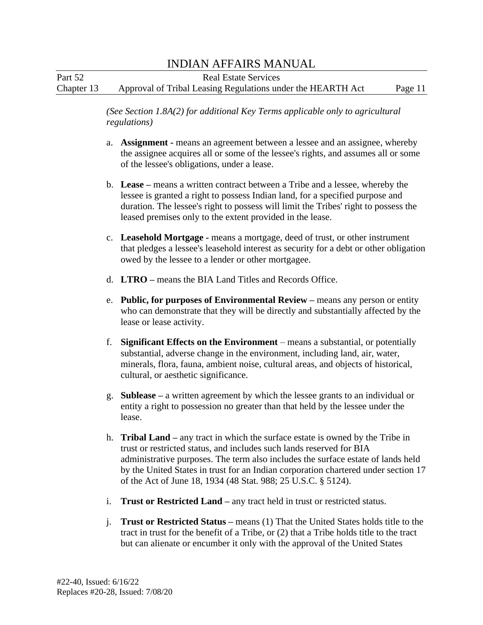| Part 52    | <b>Real Estate Services</b>                                 |         |
|------------|-------------------------------------------------------------|---------|
| Chapter 13 | Approval of Tribal Leasing Regulations under the HEARTH Act | Page 11 |

*(See Section 1.8A(2) for additional Key Terms applicable only to agricultural regulations)* 

- a. **Assignment -** means an agreement between a lessee and an assignee, whereby the assignee acquires all or some of the lessee's rights, and assumes all or some of the lessee's obligations, under a lease.
- b. **Lease –** means a written contract between a Tribe and a lessee, whereby the lessee is granted a right to possess Indian land, for a specified purpose and duration. The lessee's right to possess will limit the Tribes' right to possess the leased premises only to the extent provided in the lease.
- c. **Leasehold Mortgage -** means a mortgage, deed of trust, or other instrument that pledges a lessee's leasehold interest as security for a debt or other obligation owed by the lessee to a lender or other mortgagee.
- d. **LTRO –** means the BIA Land Titles and Records Office.
- e. **Public, for purposes of Environmental Review –** means any person or entity who can demonstrate that they will be directly and substantially affected by the lease or lease activity.
- f. **Significant Effects on the Environment**  means a substantial, or potentially substantial, adverse change in the environment, including land, air, water, minerals, flora, fauna, ambient noise, cultural areas, and objects of historical, cultural, or aesthetic significance.
- g. **Sublease –** a written agreement by which the lessee grants to an individual or entity a right to possession no greater than that held by the lessee under the lease.
- h. **Tribal Land –** any tract in which the surface estate is owned by the Tribe in trust or restricted status, and includes such lands reserved for BIA administrative purposes. The term also includes the surface estate of lands held by the United States in trust for an Indian corporation chartered under section 17 of the Act of June 18, 1934 (48 Stat. 988; 25 U.S.C. § 5124).
- i. **Trust or Restricted Land –** any tract held in trust or restricted status.
- but can alienate or encumber it only with the approval of the United States j. **Trust or Restricted Status –** means (1) That the United States holds title to the tract in trust for the benefit of a Tribe, or (2) that a Tribe holds title to the tract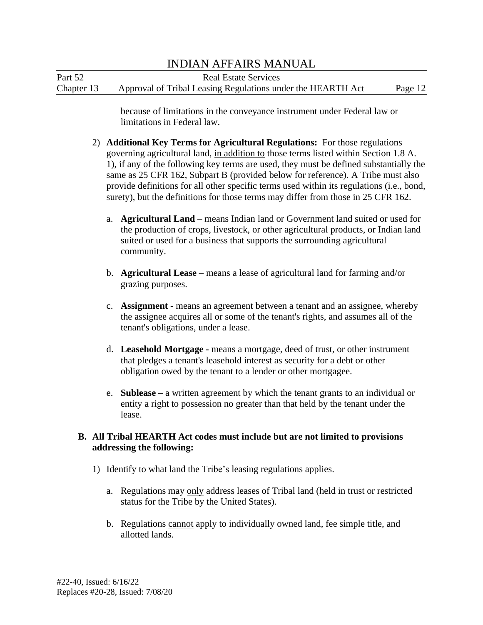Part 52 Real Estate Services Chapter 13 Approval of Tribal Leasing Regulations under the HEARTH Act Page 12

> because of limitations in the conveyance instrument under Federal law or limitations in Federal law.

- 2) **Additional Key Terms for Agricultural Regulations:** For those regulations governing agricultural land, in addition to those terms listed within Section 1.8 A. 1), if any of the following key terms are used, they must be defined substantially the same as 25 CFR 162, Subpart B (provided below for reference). A Tribe must also provide definitions for all other specific terms used within its regulations (i.e., bond, surety), but the definitions for those terms may differ from those in 25 CFR 162.
	- a. **Agricultural Land**  means Indian land or Government land suited or used for the production of crops, livestock, or other agricultural products, or Indian land suited or used for a business that supports the surrounding agricultural community.
	- b. **Agricultural Lease**  means a lease of agricultural land for farming and/or grazing purposes.
	- c. **Assignment -** means an agreement between a tenant and an assignee, whereby the assignee acquires all or some of the tenant's rights, and assumes all of the tenant's obligations, under a lease.
	- d. **Leasehold Mortgage -** means a mortgage, deed of trust, or other instrument that pledges a tenant's leasehold interest as security for a debt or other obligation owed by the tenant to a lender or other mortgagee.
	- e. **Sublease –** a written agreement by which the tenant grants to an individual or entity a right to possession no greater than that held by the tenant under the lease.

#### **B. All Tribal HEARTH Act codes must include but are not limited to provisions addressing the following:**

- 1) Identify to what land the Tribe's leasing regulations applies.
	- a. Regulations may only address leases of Tribal land (held in trust or restricted status for the Tribe by the United States).
	- b. Regulations cannot apply to individually owned land, fee simple title, and allotted lands.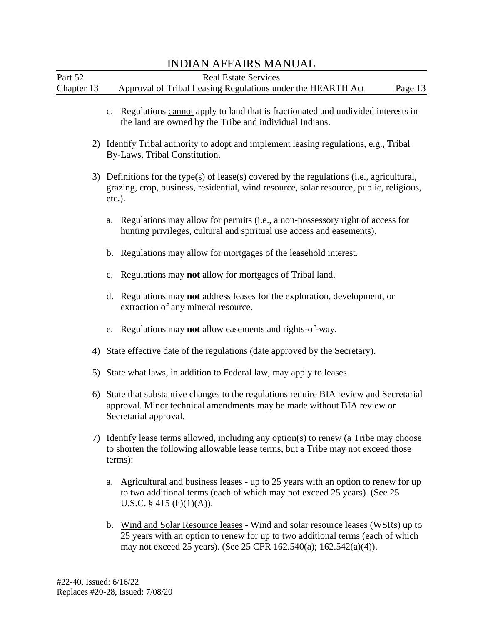|            | INDIAN AFFAINS MANUAL                                                                                                                                                                                                                  |
|------------|----------------------------------------------------------------------------------------------------------------------------------------------------------------------------------------------------------------------------------------|
| Part 52    | <b>Real Estate Services</b>                                                                                                                                                                                                            |
| Chapter 13 | Approval of Tribal Leasing Regulations under the HEARTH Act<br>Page 13                                                                                                                                                                 |
|            | c. Regulations cannot apply to land that is fractionated and undivided interests in<br>the land are owned by the Tribe and individual Indians.                                                                                         |
|            | 2) Identify Tribal authority to adopt and implement leasing regulations, e.g., Tribal<br>By-Laws, Tribal Constitution.                                                                                                                 |
|            | 3) Definitions for the type(s) of lease(s) covered by the regulations (i.e., agricultural,<br>grazing, crop, business, residential, wind resource, solar resource, public, religious,<br>$etc.$ ).                                     |
|            | Regulations may allow for permits (i.e., a non-possessory right of access for<br>a.<br>hunting privileges, cultural and spiritual use access and easements).                                                                           |
|            | Regulations may allow for mortgages of the leasehold interest.<br>b.                                                                                                                                                                   |
|            | Regulations may not allow for mortgages of Tribal land.<br>c.                                                                                                                                                                          |
|            | Regulations may not address leases for the exploration, development, or<br>d.<br>extraction of any mineral resource.                                                                                                                   |
|            | Regulations may not allow easements and rights-of-way.<br>e.                                                                                                                                                                           |
|            | 4) State effective date of the regulations (date approved by the Secretary).                                                                                                                                                           |
|            | 5) State what laws, in addition to Federal law, may apply to leases.                                                                                                                                                                   |
|            | 6) State that substantive changes to the regulations require BIA review and Secretarial<br>approval. Minor technical amendments may be made without BIA review or<br>Secretarial approval.                                             |
|            | 7) Identify lease terms allowed, including any option(s) to renew (a Tribe may choose<br>to shorten the following allowable lease terms, but a Tribe may not exceed those<br>terms):                                                   |
|            | Agricultural and business leases - up to 25 years with an option to renew for up<br>a.<br>to two additional terms (each of which may not exceed 25 years). (See 25<br>U.S.C. $\S$ 415 (h)(1)(A)).                                      |
|            | b. Wind and Solar Resource leases - Wind and solar resource leases (WSRs) up to<br>25 years with an option to renew for up to two additional terms (each of which<br>may not exceed 25 years). (See 25 CFR 162.540(a); 162.542(a)(4)). |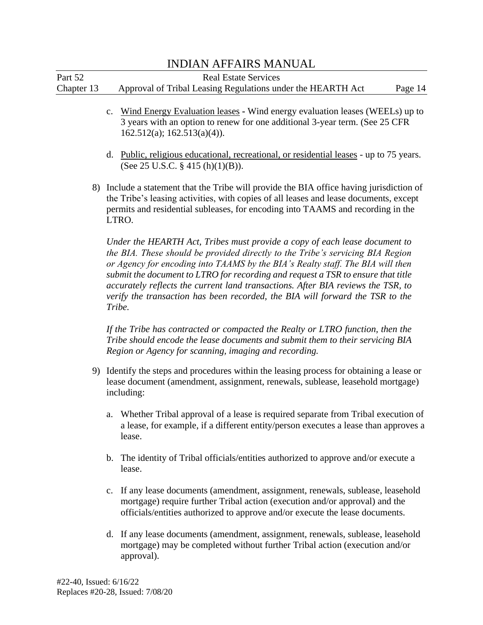# *submit the document to LTRO for recording and request a TSR to ensure that title accurately reflects the current land transactions. After BIA reviews the TSR, to Tribe should encode the lease documents and submit them to their servicing BIA*  INDIAN AFFAIRS MANUAL Part 52 Real Estate Services Chapter 13 Approval of Tribal Leasing Regulations under the HEARTH Act Page 14 c. Wind Energy Evaluation leases **-** Wind energy evaluation leases (WEELs) up to 3 years with an option to renew for one additional 3-year term. (See 25 CFR 162.512(a); 162.513(a)(4)). d. Public, religious educational, recreational, or residential leases - up to 75 years. (See 25 U.S.C. § 415 (h)(1)(B)). 8) Include a statement that the Tribe will provide the BIA office having jurisdiction of the Tribe's leasing activities, with copies of all leases and lease documents, except permits and residential subleases, for encoding into TAAMS and recording in the LTRO. *Under the HEARTH Act, Tribes must provide a copy of each lease document to the BIA. These should be provided directly to the Tribe's servicing BIA Region or Agency for encoding into TAAMS by the BIA's Realty staff. The BIA will then verify the transaction has been recorded, the BIA will forward the TSR to the Tribe. If the Tribe has contracted or compacted the Realty or LTRO function, then the Region or Agency for scanning, imaging and recording.*  9) Identify the steps and procedures within the leasing process for obtaining a lease or lease document (amendment, assignment, renewals, sublease, leasehold mortgage) including: a. Whether Tribal approval of a lease is required separate from Tribal execution of a lease, for example, if a different entity/person executes a lease than approves a lease. b. The identity of Tribal officials/entities authorized to approve and/or execute a lease. c. If any lease documents (amendment, assignment, renewals, sublease, leasehold mortgage) require further Tribal action (execution and/or approval) and the officials/entities authorized to approve and/or execute the lease documents.

d. If any lease documents (amendment, assignment, renewals, sublease, leasehold mortgage) may be completed without further Tribal action (execution and/or approval).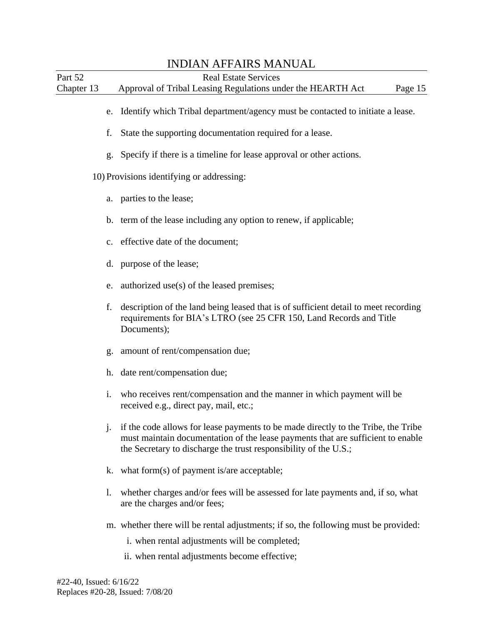|                       | <b>INDIAN AFFAIRS MANUAL</b>                                                                                                                                                                                                             |
|-----------------------|------------------------------------------------------------------------------------------------------------------------------------------------------------------------------------------------------------------------------------------|
| Part 52<br>Chapter 13 | <b>Real Estate Services</b><br>Approval of Tribal Leasing Regulations under the HEARTH Act<br>Page 15                                                                                                                                    |
| e.                    | Identify which Tribal department/agency must be contacted to initiate a lease.                                                                                                                                                           |
| f.                    | State the supporting documentation required for a lease.                                                                                                                                                                                 |
| g.                    | Specify if there is a timeline for lease approval or other actions.                                                                                                                                                                      |
|                       | 10) Provisions identifying or addressing:                                                                                                                                                                                                |
|                       | a. parties to the lease;                                                                                                                                                                                                                 |
| $\mathbf b$ .         | term of the lease including any option to renew, if applicable;                                                                                                                                                                          |
| $C_{\bullet}$         | effective date of the document;                                                                                                                                                                                                          |
| d.                    | purpose of the lease;                                                                                                                                                                                                                    |
| e.                    | authorized use(s) of the leased premises;                                                                                                                                                                                                |
| f.                    | description of the land being leased that is of sufficient detail to meet recording<br>requirements for BIA's LTRO (see 25 CFR 150, Land Records and Title<br>Documents);                                                                |
| g.                    | amount of rent/compensation due;                                                                                                                                                                                                         |
| h.                    | date rent/compensation due;                                                                                                                                                                                                              |
| i.                    | who receives rent/compensation and the manner in which payment will be<br>received e.g., direct pay, mail, etc.;                                                                                                                         |
| j.                    | if the code allows for lease payments to be made directly to the Tribe, the Tribe<br>must maintain documentation of the lease payments that are sufficient to enable<br>the Secretary to discharge the trust responsibility of the U.S.; |
| k.                    | what form $(s)$ of payment is/are acceptable;                                                                                                                                                                                            |
| 1.                    | whether charges and/or fees will be assessed for late payments and, if so, what<br>are the charges and/or fees;                                                                                                                          |
|                       | m. whether there will be rental adjustments; if so, the following must be provided:<br>i. when rental adjustments will be completed;                                                                                                     |

ii. when rental adjustments become effective;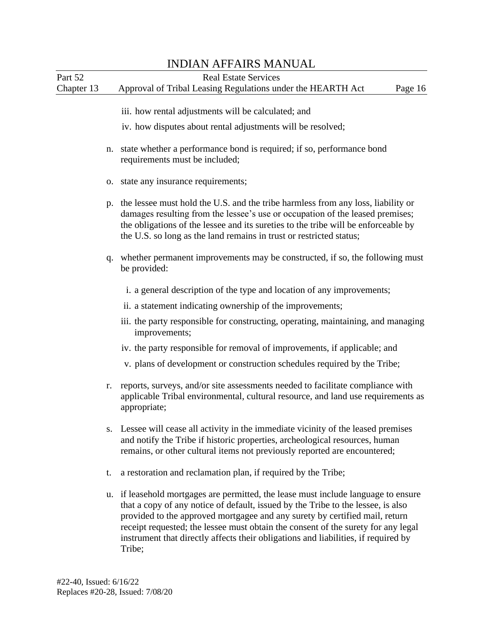|            |    | <b>INDIAN AFFAIRS MANUAL</b>                                                                                                                                                                                                                                                                                                                                                                                                               |
|------------|----|--------------------------------------------------------------------------------------------------------------------------------------------------------------------------------------------------------------------------------------------------------------------------------------------------------------------------------------------------------------------------------------------------------------------------------------------|
| Part 52    |    | <b>Real Estate Services</b>                                                                                                                                                                                                                                                                                                                                                                                                                |
| Chapter 13 |    | Approval of Tribal Leasing Regulations under the HEARTH Act<br>Page 16                                                                                                                                                                                                                                                                                                                                                                     |
|            |    | iii. how rental adjustments will be calculated; and                                                                                                                                                                                                                                                                                                                                                                                        |
|            |    | iv. how disputes about rental adjustments will be resolved;                                                                                                                                                                                                                                                                                                                                                                                |
|            | n. | state whether a performance bond is required; if so, performance bond<br>requirements must be included;                                                                                                                                                                                                                                                                                                                                    |
|            |    | o. state any insurance requirements;                                                                                                                                                                                                                                                                                                                                                                                                       |
|            | p. | the lessee must hold the U.S. and the tribe harmless from any loss, liability or<br>damages resulting from the lessee's use or occupation of the leased premises;<br>the obligations of the lessee and its sureties to the tribe will be enforceable by<br>the U.S. so long as the land remains in trust or restricted status;                                                                                                             |
|            | q. | whether permanent improvements may be constructed, if so, the following must<br>be provided:                                                                                                                                                                                                                                                                                                                                               |
|            |    | i. a general description of the type and location of any improvements;                                                                                                                                                                                                                                                                                                                                                                     |
|            |    | ii. a statement indicating ownership of the improvements;                                                                                                                                                                                                                                                                                                                                                                                  |
|            |    | iii. the party responsible for constructing, operating, maintaining, and managing<br>improvements;                                                                                                                                                                                                                                                                                                                                         |
|            |    | iv. the party responsible for removal of improvements, if applicable; and                                                                                                                                                                                                                                                                                                                                                                  |
|            |    | v. plans of development or construction schedules required by the Tribe;                                                                                                                                                                                                                                                                                                                                                                   |
|            | r. | reports, surveys, and/or site assessments needed to facilitate compliance with<br>applicable Tribal environmental, cultural resource, and land use requirements as<br>appropriate;                                                                                                                                                                                                                                                         |
|            | S. | Lessee will cease all activity in the immediate vicinity of the leased premises<br>and notify the Tribe if historic properties, archeological resources, human<br>remains, or other cultural items not previously reported are encountered;                                                                                                                                                                                                |
|            | t. | a restoration and reclamation plan, if required by the Tribe;                                                                                                                                                                                                                                                                                                                                                                              |
|            |    | u. if leasehold mortgages are permitted, the lease must include language to ensure<br>that a copy of any notice of default, issued by the Tribe to the lessee, is also<br>provided to the approved mortgagee and any surety by certified mail, return<br>receipt requested; the lessee must obtain the consent of the surety for any legal<br>instrument that directly affects their obligations and liabilities, if required by<br>Tribe; |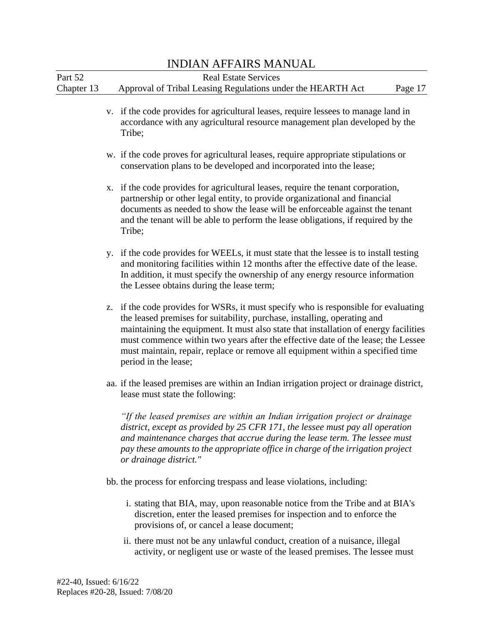|            |    | <b>INDIAN AFFAIRS MANUAL</b>                                                                                                                                                                                                                                                                                                                                                                                                                       |
|------------|----|----------------------------------------------------------------------------------------------------------------------------------------------------------------------------------------------------------------------------------------------------------------------------------------------------------------------------------------------------------------------------------------------------------------------------------------------------|
| Part 52    |    | <b>Real Estate Services</b>                                                                                                                                                                                                                                                                                                                                                                                                                        |
| Chapter 13 |    | Approval of Tribal Leasing Regulations under the HEARTH Act<br>Page 17                                                                                                                                                                                                                                                                                                                                                                             |
|            |    | v. if the code provides for agricultural leases, require lessees to manage land in<br>accordance with any agricultural resource management plan developed by the<br>Tribe;                                                                                                                                                                                                                                                                         |
|            |    | w. if the code proves for agricultural leases, require appropriate stipulations or<br>conservation plans to be developed and incorporated into the lease;                                                                                                                                                                                                                                                                                          |
|            | X. | if the code provides for agricultural leases, require the tenant corporation,<br>partnership or other legal entity, to provide organizational and financial<br>documents as needed to show the lease will be enforceable against the tenant<br>and the tenant will be able to perform the lease obligations, if required by the<br>Tribe;                                                                                                          |
|            |    | y. if the code provides for WEELs, it must state that the lessee is to install testing<br>and monitoring facilities within 12 months after the effective date of the lease.<br>In addition, it must specify the ownership of any energy resource information<br>the Lessee obtains during the lease term;                                                                                                                                          |
|            | Z. | if the code provides for WSRs, it must specify who is responsible for evaluating<br>the leased premises for suitability, purchase, installing, operating and<br>maintaining the equipment. It must also state that installation of energy facilities<br>must commence within two years after the effective date of the lease; the Lessee<br>must maintain, repair, replace or remove all equipment within a specified time<br>period in the lease; |
|            |    | aa. if the leased premises are within an Indian irrigation project or drainage district,<br>lease must state the following:                                                                                                                                                                                                                                                                                                                        |
|            |    | "If the leased premises are within an Indian irrigation project or drainage<br>district, except as provided by 25 CFR 171, the lessee must pay all operation<br>and maintenance charges that accrue during the lease term. The lessee must<br>pay these amounts to the appropriate office in charge of the irrigation project<br>or drainage district."                                                                                            |
|            |    | bb. the process for enforcing trespass and lease violations, including:                                                                                                                                                                                                                                                                                                                                                                            |
|            |    | i. stating that BIA, may, upon reasonable notice from the Tribe and at BIA's<br>discretion, enter the leased premises for inspection and to enforce the<br>provisions of, or cancel a lease document;                                                                                                                                                                                                                                              |
|            |    | ii. there must not be any unlawful conduct, creation of a nuisance, illegal<br>activity, or negligent use or waste of the leased premises. The lessee must                                                                                                                                                                                                                                                                                         |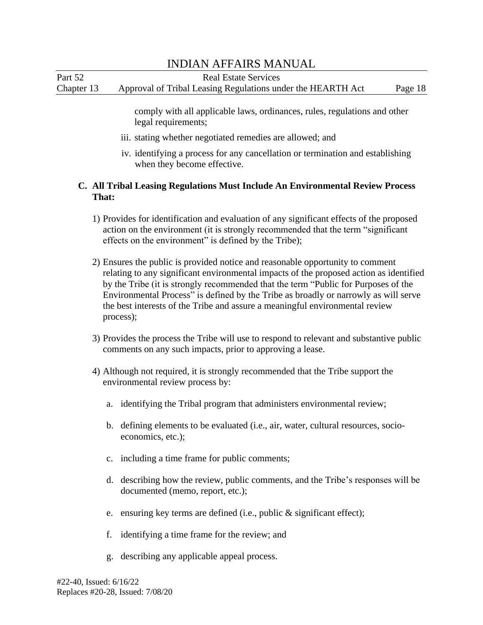### INDIAN AFFAIRS MANUAL Part 52 Real Estate Services Chapter 13 Approval of Tribal Leasing Regulations under the HEARTH Act Page 18

comply with all applicable laws, ordinances, rules, regulations and other legal requirements;

- iii. stating whether negotiated remedies are allowed; and
- iv. identifying a process for any cancellation or termination and establishing when they become effective.

#### **C. All Tribal Leasing Regulations Must Include An Environmental Review Process That:**

- 1) Provides for identification and evaluation of any significant effects of the proposed action on the environment (it is strongly recommended that the term "significant effects on the environment" is defined by the Tribe);
- Environmental Process" is defined by the Tribe as broadly or narrowly as will serve 2) Ensures the public is provided notice and reasonable opportunity to comment relating to any significant environmental impacts of the proposed action as identified by the Tribe (it is strongly recommended that the term "Public for Purposes of the the best interests of the Tribe and assure a meaningful environmental review process);
- 3) Provides the process the Tribe will use to respond to relevant and substantive public comments on any such impacts, prior to approving a lease.
- 4) Although not required, it is strongly recommended that the Tribe support the environmental review process by:
	- a. identifying the Tribal program that administers environmental review;
	- b. defining elements to be evaluated (i.e., air, water, cultural resources, socioeconomics, etc.);
	- c. including a time frame for public comments;
	- d. describing how the review, public comments, and the Tribe's responses will be documented (memo, report, etc.);
	- e. ensuring key terms are defined (i.e., public & significant effect);
	- f. identifying a time frame for the review; and
	- g. describing any applicable appeal process.